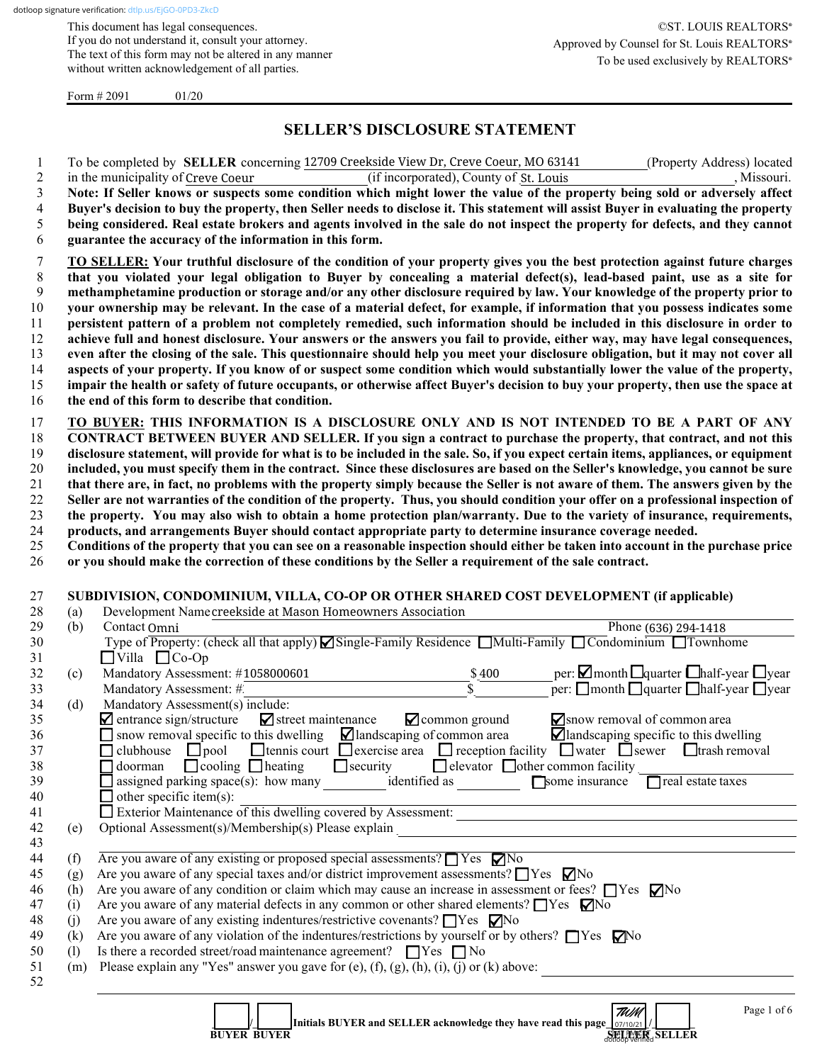This document has legal consequences. If you do not understand it, consult your attorney. The text of this form may not be altered in any manner without written acknowledgement of all parties.

Form  $\# 2091$  01/20

# **SELLER'S DISCLOSURE STATEMENT**

|    | To be completed by <b>SELLER</b> concerning 12709 Creekside View Dr, Creve Coeur, MO 63141<br>(Property Address) located            |
|----|-------------------------------------------------------------------------------------------------------------------------------------|
|    | in the municipality of Creve Coeur<br>, Missouri.<br>(if incorporated), County of St. Louis                                         |
| 3  | Note: If Seller knows or suspects some condition which might lower the value of the property being sold or adversely affect         |
| 4  | Buyer's decision to buy the property, then Seller needs to disclose it. This statement will assist Buyer in evaluating the property |
| 5  | being considered. Real estate brokers and agents involved in the sale do not inspect the property for defects, and they cannot      |
| 6  | guarantee the accuracy of the information in this form.                                                                             |
|    | TO SELLER: Your truthful disclosure of the condition of your property gives you the best protection against future charges          |
| 8  | that you violated your legal obligation to Buyer by concealing a material defect(s), lead-based paint, use as a site for            |
| 9  | methamphetamine production or storage and/or any other disclosure required by law. Your knowledge of the property prior to          |
| 10 | your ownership may be relevant. In the case of a material defect, for example, if information that you possess indicates some       |
| 11 | persistent pattern of a problem not completely remedied, such information should be included in this disclosure in order to         |
| 12 | achieve full and honest disclosure. Your answers or the answers you fail to provide, either way, may have legal consequences,       |
| 13 | even after the closing of the sale. This questionnaire should help you meet your disclosure obligation, but it may not cover all    |
| 14 | aspects of your property. If you know of or suspect some condition which would substantially lower the value of the property,       |
| 15 | impair the health or safety of future occupants, or otherwise affect Buyer's decision to buy your property, then use the space at   |

16 **the end of this form to describe that condition.**

 **TO BUYER: THIS INFORMATION IS A DISCLOSURE ONLY AND IS NOT INTENDED TO BE A PART OF ANY CONTRACT BETWEEN BUYER AND SELLER. If you sign a contract to purchase the property, that contract, and not this disclosure statement, will provide for what is to be included in the sale. So, if you expect certain items, appliances, or equipment included, you must specify them in the contract. Since these disclosures are based on the Seller's knowledge, you cannot be sure that there are, in fact, no problems with the property simply because the Seller is not aware of them. The answers given by the Seller are not warranties of the condition of the property. Thus, you should condition your offer on a professional inspection of the property. You may also wish to obtain a home protection plan/warranty. Due to the variety of insurance, requirements, products, and arrangements Buyer should contact appropriate party to determine insurance coverage needed.**

25 **Conditions of the property that you can see on a reasonable inspection should either be taken into account in the purchase price**  26 **or you should make the correction of these conditions by the Seller a requirement of the sale contract.**

#### 27 **SUBDIVISION, CONDOMINIUM, VILLA, CO-OP OR OTHER SHARED COST DEVELOPMENT (if applicable)**

| 28 | (a) | Development Name creekside at Mason Homeowners Association                                                                                     |  |  |  |  |  |  |  |
|----|-----|------------------------------------------------------------------------------------------------------------------------------------------------|--|--|--|--|--|--|--|
| 29 | (b) | Contact Omni<br>Phone (636) 294-1418                                                                                                           |  |  |  |  |  |  |  |
| 30 |     | Type of Property: (check all that apply) Single-Family Residence Multi-Family Condominium Townhome                                             |  |  |  |  |  |  |  |
| 31 |     | $\Box$ Villa $\Box$ Co-Op                                                                                                                      |  |  |  |  |  |  |  |
| 32 | (c) | per: $\Box$ month $\Box$ quarter $\Box$ half-year $\Box$ year<br>Mandatory Assessment: #1058000601<br>\$400                                    |  |  |  |  |  |  |  |
| 33 |     | per: $\Box$ month $\Box$ quarter $\Box$ half-year $\Box$ year<br>Mandatory Assessment: #.                                                      |  |  |  |  |  |  |  |
| 34 | (d) | Mandatory Assessment(s) include:                                                                                                               |  |  |  |  |  |  |  |
| 35 |     | $\angle$ common ground<br>$\blacksquare$ entrance sign/structure $\blacksquare$ street maintenance<br>$\sum$ snow removal of common area       |  |  |  |  |  |  |  |
| 36 |     | snow removal specific to this dwelling $\Box$ landscaping of common area<br>$\blacksquare$ landscaping specific to this dwelling               |  |  |  |  |  |  |  |
| 37 |     | $\Box$ clubhouse $\Box$ pool $\Box$ tennis court $\Box$ exercise area $\Box$ reception facility $\Box$ water $\Box$ sewer $\Box$ trash removal |  |  |  |  |  |  |  |
| 38 |     | doorman $\Box$ cooling $\Box$ heating $\Box$ security $\Box$ elevator $\Box$ other common facility<br>П                                        |  |  |  |  |  |  |  |
| 39 |     | $\alpha$ assigned parking space(s): how many identified as<br>Some insurance<br>$\Box$ real estate taxes                                       |  |  |  |  |  |  |  |
| 40 |     | other specific item(s):                                                                                                                        |  |  |  |  |  |  |  |
| 41 |     | $\Box$ Exterior Maintenance of this dwelling covered by Assessment:                                                                            |  |  |  |  |  |  |  |
| 42 | (e) | Optional Assessment(s)/Membership(s) Please explain                                                                                            |  |  |  |  |  |  |  |
| 43 |     |                                                                                                                                                |  |  |  |  |  |  |  |
| 44 | (f) | Are you aware of any existing or proposed special assessments? $\Box$ Yes $\nabla$ No                                                          |  |  |  |  |  |  |  |
| 45 | (g) | Are you aware of any special taxes and/or district improvement assessments? $\Box$ Yes $\nabla$ No                                             |  |  |  |  |  |  |  |
| 46 | (h) | Are you aware of any condition or claim which may cause an increase in assessment or fees? $\Box$ Yes $\nabla$ No                              |  |  |  |  |  |  |  |
| 47 | (i) | Are you aware of any material defects in any common or other shared elements? $\Box$ Yes $\Box$ No                                             |  |  |  |  |  |  |  |
| 48 | (i) | Are you aware of any existing indentures/restrictive covenants? $\Box$ Yes $\nabla$ No                                                         |  |  |  |  |  |  |  |
| 49 | (k) | Are you aware of any violation of the indentures/restrictions by yourself or by others? $\Box$ Yes $\nabla$ No                                 |  |  |  |  |  |  |  |
| 50 | (1) | Is there a recorded street/road maintenance agreement? $\Box$ Yes $\Box$ No                                                                    |  |  |  |  |  |  |  |
| 51 | (m) | Please explain any "Yes" answer you gave for (e), $(f)$ , $(g)$ , $(h)$ , $(i)$ , $(j)$ or $(k)$ above:                                        |  |  |  |  |  |  |  |
| 52 |     |                                                                                                                                                |  |  |  |  |  |  |  |
|    |     | --                                                                                                                                             |  |  |  |  |  |  |  |

dotloop verified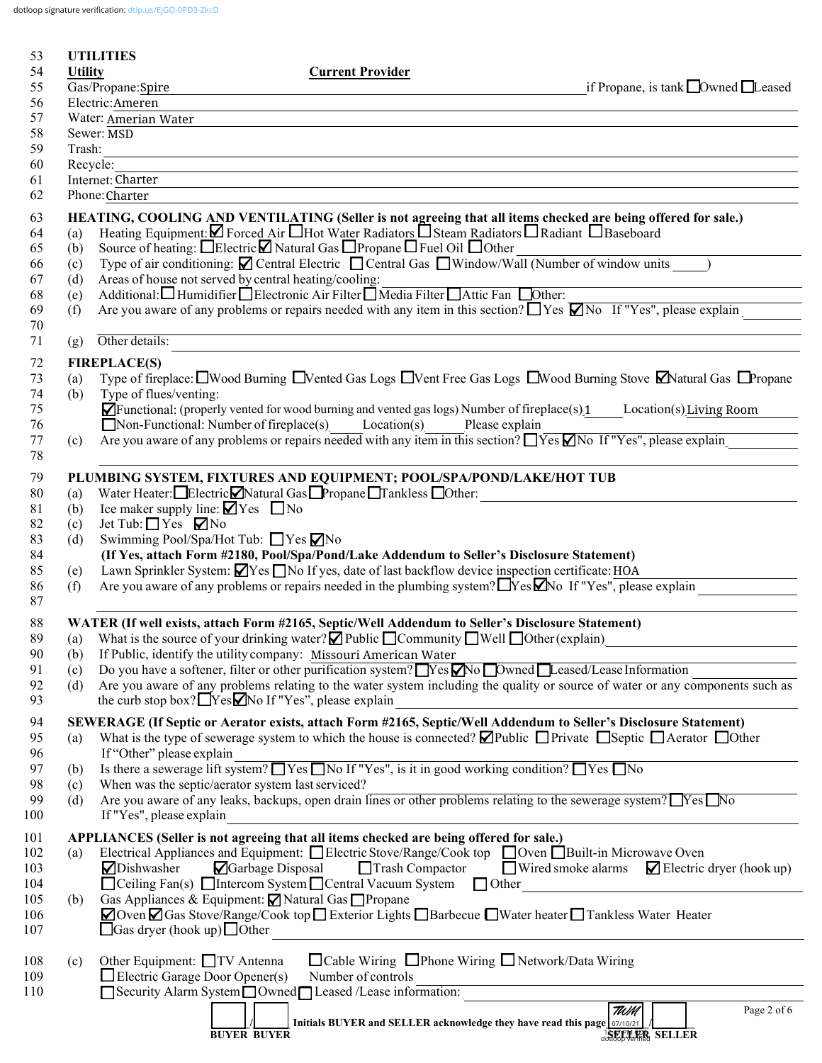dotloop signature verification: [dtlp.us/EjGO-0PD3-ZkcD](https://dtlp.us/EjGO-0PD3-ZkcD)

| 53         |                 | <b>UTILITIES</b>                                                                                                                                                                                                     |  |  |  |
|------------|-----------------|----------------------------------------------------------------------------------------------------------------------------------------------------------------------------------------------------------------------|--|--|--|
| 54<br>55   | <b>Utility</b>  | <b>Current Provider</b><br>Gas/Propane:Spire<br>if Propane, is tank $\Box$ Owned $\Box$ Leased                                                                                                                       |  |  |  |
| 56         | Electric:Ameren |                                                                                                                                                                                                                      |  |  |  |
| 57         |                 | Water: Amerian Water                                                                                                                                                                                                 |  |  |  |
| 58         |                 | Sewer: MSD                                                                                                                                                                                                           |  |  |  |
| 59         | Trash:          |                                                                                                                                                                                                                      |  |  |  |
| 60         | Recycle:        |                                                                                                                                                                                                                      |  |  |  |
| 61         |                 | Internet: Charter                                                                                                                                                                                                    |  |  |  |
| 62         |                 | Phone: Charter                                                                                                                                                                                                       |  |  |  |
| 63         |                 | HEATING, COOLING AND VENTILATING (Seller is not agreeing that all items checked are being offered for sale.)                                                                                                         |  |  |  |
| 64         | (a)             | Heating Equipment: Z Forced Air Hot Water Radiators DSteam Radiators D Radiant D Baseboard<br>Source of heating: □Electric□ Natural Gas □ Propane □ Fuel Oil □ Other                                                 |  |  |  |
| 65<br>66   | (b)<br>(c)      | Source of neating: □Efectric □ Natural Gas □ Propane □ Puel Off □ Other<br>Type of air conditioning: □ Central Electric □ Central Gas □ Window/Wall (Number of window units )                                        |  |  |  |
| 67         | (d)             | Areas of house not served by central heating/cooling:                                                                                                                                                                |  |  |  |
| 68         | (e)             | Additional: Humidifier Blectronic Air Filter Media Filter Attic Fan Dother:                                                                                                                                          |  |  |  |
| 69         | (f)             | Are you aware of any problems or repairs needed with any item in this section? $\Box$ Yes $\Box$ No If "Yes", please explain                                                                                         |  |  |  |
| 70         |                 |                                                                                                                                                                                                                      |  |  |  |
| 71         | (g)             | Other details:                                                                                                                                                                                                       |  |  |  |
| 72         |                 | <b>FIREPLACE(S)</b>                                                                                                                                                                                                  |  |  |  |
| 73         | (a)             | Type of fireplace: $\Box$ Wood Burning $\Box$ Vented Gas Logs $\Box$ Vent Free Gas Logs $\Box$ Wood Burning Stove $\Box$ Natural Gas $\Box$ Propane                                                                  |  |  |  |
| 74         | (b)             | Type of flues/venting:                                                                                                                                                                                               |  |  |  |
| 75         |                 | $\blacksquare$ Functional: (properly vented for wood burning and vented gas logs) Number of fireplace(s) 1<br>Location(s) Living Room                                                                                |  |  |  |
| 76<br>77   |                 | $\Box$ Non-Functional: Number of fireplace(s) Location(s) Please explain<br>Are you aware of any problems or repairs needed with any item in this section? TYes Mo If "Yes", please explain                          |  |  |  |
| 78         | (c)             |                                                                                                                                                                                                                      |  |  |  |
| 79         |                 | PLUMBING SYSTEM, FIXTURES AND EQUIPMENT; POOL/SPA/POND/LAKE/HOT TUB                                                                                                                                                  |  |  |  |
| 80         | (a)             | Water Heater: Electric Natural Gas Propane Tankless Other:                                                                                                                                                           |  |  |  |
| 81         | (b)             | Ice maker supply line: $\blacksquare$ Yes $\blacksquare$ No                                                                                                                                                          |  |  |  |
| 82         | (c)             | Jet Tub: $\Box$ Yes $\Box$ No                                                                                                                                                                                        |  |  |  |
| 83         | (d)             | Swimming Pool/Spa/Hot Tub: ■ Yes ■ No                                                                                                                                                                                |  |  |  |
| 84         |                 | (If Yes, attach Form #2180, Pool/Spa/Pond/Lake Addendum to Seller's Disclosure Statement)                                                                                                                            |  |  |  |
| 85         | (e)             | Lawn Sprinkler System: <b>N</b> Yes No If yes, date of last backflow device inspection certificate: HOA                                                                                                              |  |  |  |
| 86<br>87   | (f)             | Are you aware of any problems or repairs needed in the plumbing system? $\Box$ Yes $\Box$ No If "Yes", please explain                                                                                                |  |  |  |
|            |                 |                                                                                                                                                                                                                      |  |  |  |
| 88<br>89   |                 | WATER (If well exists, attach Form #2165, Septic/Well Addendum to Seller's Disclosure Statement)<br>(a) What is the source of your drinking water? $\Box$ Public $\Box$ Community $\Box$ Well $\Box$ Other (explain) |  |  |  |
| 90         | (b)             | If Public, identify the utility company: Missouri American Water                                                                                                                                                     |  |  |  |
| 91         | (c)             | Do you have a softener, filter or other purification system? Nes No Dwned Leased/Lease Information                                                                                                                   |  |  |  |
| 92         | (d)             | Are you aware of any problems relating to the water system including the quality or source of water or any components such as                                                                                        |  |  |  |
| 93         |                 | the curb stop box? $\Box$ Yes $\Box$ No If "Yes", please explain                                                                                                                                                     |  |  |  |
| 94         |                 | SEWERAGE (If Septic or Aerator exists, attach Form #2165, Septic/Well Addendum to Seller's Disclosure Statement)                                                                                                     |  |  |  |
| 95         | (a)             | What is the type of sewerage system to which the house is connected? $\Box$ Public $\Box$ Private $\Box$ Septic $\Box$ Aerator $\Box$ Other                                                                          |  |  |  |
| 96         |                 | If "Other" please explain                                                                                                                                                                                            |  |  |  |
| 97         | (b)             | Is there a sewerage lift system? Thes The If "Yes", is it in good working condition? Thes The                                                                                                                        |  |  |  |
| 98<br>99   | (c)<br>(d)      | When was the septic/aerator system last serviced?<br>Are you aware of any leaks, backups, open drain lines or other problems relating to the sewerage system? TYes No                                                |  |  |  |
| 100        |                 | If "Yes", please explain                                                                                                                                                                                             |  |  |  |
|            |                 | APPLIANCES (Seller is not agreeing that all items checked are being offered for sale.)                                                                                                                               |  |  |  |
| 101<br>102 | (a)             | Electrical Appliances and Equipment: $\Box$ Electric Stove/Range/Cook top $\Box$ Oven $\Box$ Built-in Microwave Oven                                                                                                 |  |  |  |
| 103        |                 | Wired smoke alarms<br>Dishwasher<br>Garbage Disposal<br><b>Trash Compactor</b><br>$\blacktriangleright$ Electric dryer (hook up)                                                                                     |  |  |  |
| 104        |                 | $\Box$ Ceiling Fan(s) $\Box$ Intercom System $\Box$ Central Vacuum System $\Box$ Other                                                                                                                               |  |  |  |
| 105        | (b)             | Gas Appliances & Equipment: Natural Gas Propane                                                                                                                                                                      |  |  |  |
| 106        |                 | △ Oven △ Gas Stove/Range/Cook top □ Exterior Lights □ Barbecue □ Water heater □ Tankless Water Heater                                                                                                                |  |  |  |
| 107        |                 | $\Box$ Gas dryer (hook up) $\Box$ Other                                                                                                                                                                              |  |  |  |
| 108        | (c)             | □ Cable Wiring □ Phone Wiring □ Network/Data Wiring<br>Other Equipment: □TV Antenna                                                                                                                                  |  |  |  |
| 109        |                 | $\Box$ Electric Garage Door Opener(s)<br>Number of controls                                                                                                                                                          |  |  |  |
| 110        |                 | Security Alarm System Owned Leased /Lease information:                                                                                                                                                               |  |  |  |
|            |                 | TWM<br>Page 2 of 6                                                                                                                                                                                                   |  |  |  |
|            |                 | Initials BUYER and SELLER acknowledge they have read this page 07/10/21<br>double verified SELLER<br><b>BUYER BUYER</b>                                                                                              |  |  |  |
|            |                 |                                                                                                                                                                                                                      |  |  |  |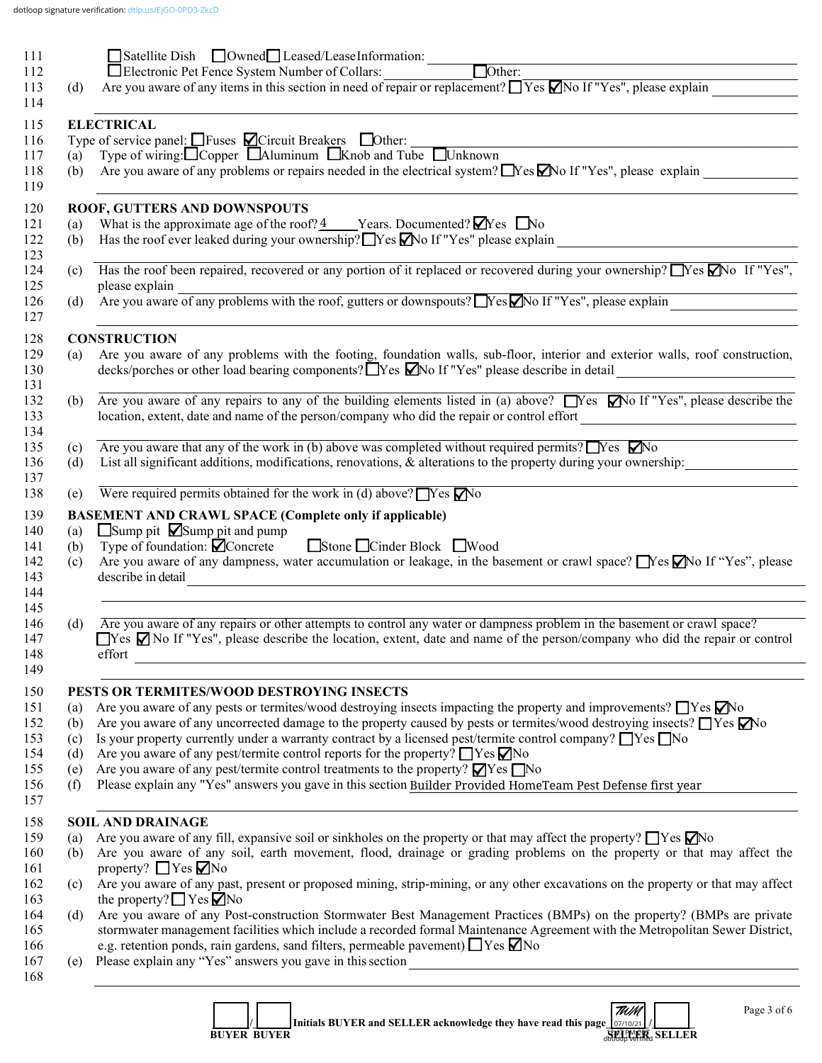| 111        | ■Satellite Dish ■Owned■Leased/LeaseInformation: ■<br>Number of Collars                                                                                                    |
|------------|---------------------------------------------------------------------------------------------------------------------------------------------------------------------------|
| 112        |                                                                                                                                                                           |
| 113<br>(d) | Are you aware of any items in this section in need of repair or replacement? $\Box$ Yes $\Box$ No If "Yes", please explain                                                |
| 114        |                                                                                                                                                                           |
| 115        | <b>ELECTRICAL</b>                                                                                                                                                         |
| 116        | Type of service panel: $\Box$ Fuses $\Box$ Circuit Breakers $\Box$ Other:<br>(a) Type of wiring: $\Box$ Copper $\Box$ Aluminum $\Box$ Knob and Tube $\Box$ Unknown        |
| 117        |                                                                                                                                                                           |
| 118<br>(b) | Are you aware of any problems or repairs needed in the electrical system? $\Box$ Yes $\Box$ No If "Yes", please explain                                                   |
| 119        |                                                                                                                                                                           |
| 120        | ROOF, GUTTERS AND DOWNSPOUTS                                                                                                                                              |
| 121<br>(a) | What is the approximate age of the roof? $\frac{4}{2}$ Years. Documented? $\blacksquare$ Yes $\blacksquare$ No                                                            |
| 122<br>(b) |                                                                                                                                                                           |
| 123<br>124 | Has the roof been repaired, recovered or any portion of it replaced or recovered during your ownership? $\Box$ Yes $\Box$ No If "Yes",                                    |
| (c)<br>125 | please explain                                                                                                                                                            |
| (d)        | please explain<br>Are you aware of any problems with the roof, gutters or downspouts? No If "Yes", please explain                                                         |
|            | <u> 1989 - Johann Stoff, amerikansk politiker (d. 1989)</u>                                                                                                               |
|            | <b>CONSTRUCTION</b>                                                                                                                                                       |
| (a)        | Are you aware of any problems with the footing, foundation walls, sub-floor, interior and exterior walls, roof construction,                                              |
|            | decks/porches or other load bearing components? TYes MNo If "Yes" please describe in detail                                                                               |
|            |                                                                                                                                                                           |
|            | (b) Are you aware of any repairs to any of the building elements listed in (a) above? Nes Mo If "Yes", please describe the                                                |
|            | location, extent, date and name of the person/company who did the repair or control effort                                                                                |
| (c)        | Are you aware that any of the work in (b) above was completed without required permits? $\Box$ Yes $\nabla$ No                                                            |
| (d)        | List all significant additions, modifications, renovations, & alterations to the property during your ownership:                                                          |
|            |                                                                                                                                                                           |
| (e)        | Were required permits obtained for the work in (d) above? $\Box$ Yes $\Box$ No                                                                                            |
|            | <b>BASEMENT AND CRAWL SPACE (Complete only if applicable)</b>                                                                                                             |
| (a)        | $\Box$ Sump pit $\Box$ Sump pit and pump                                                                                                                                  |
| (b)        | Type of foundation: $\bigcirc$ Concrete Stone Cinder Block Wood                                                                                                           |
| (c)        | Are you aware of any dampness, water accumulation or leakage, in the basement or crawl space? Nes VNo If "Yes", please                                                    |
|            | describe in detail                                                                                                                                                        |
|            |                                                                                                                                                                           |
|            |                                                                                                                                                                           |
| (d)        | Are you aware of any repairs or other attempts to control any water or dampness problem in the basement or crawl space?                                                   |
|            | $\Box$ Yes $\Box$ No If "Yes", please describe the location, extent, date and name of the person/company who did the repair or control                                    |
|            | effort                                                                                                                                                                    |
|            |                                                                                                                                                                           |
|            | PESTS OR TERMITES/WOOD DESTROYING INSECTS<br>Are you aware of any pests or termites/wood destroying insects impacting the property and improvements? $\Box$ Yes $\Box$ No |
| (a)<br>(b) | Are you aware of any uncorrected damage to the property caused by pests or termites/wood destroying insects? $\Box$ Yes $\Box$ No                                         |
| (c)        | Is your property currently under a warranty contract by a licensed pest/termite control company? $\Box$ Yes $\Box$ No                                                     |
| (d)        | Are you aware of any pest/termite control reports for the property? $\Box$ Yes $\nabla$ No                                                                                |
| (e)        | Are you aware of any pest/termite control treatments to the property? $\blacksquare$ Yes $\blacksquare$ No                                                                |
| (f)        | Please explain any "Yes" answers you gave in this section Builder Provided HomeTeam Pest Defense first year                                                               |
|            |                                                                                                                                                                           |
|            | <b>SOIL AND DRAINAGE</b>                                                                                                                                                  |
| (a)        | Are you aware of any fill, expansive soil or sinkholes on the property or that may affect the property? $\Box$ Yes $\Box$ No                                              |
| (b)        | Are you aware of any soil, earth movement, flood, drainage or grading problems on the property or that may affect the                                                     |
|            | property? $\Box$ Yes $\nabla$ No                                                                                                                                          |
| (c)        | Are you aware of any past, present or proposed mining, strip-mining, or any other excavations on the property or that may affect                                          |
|            | the property? $\Box$ Yes $\Box$ No                                                                                                                                        |
| (d)        | Are you aware of any Post-construction Stormwater Best Management Practices (BMPs) on the property? (BMPs are private                                                     |
|            | stormwater management facilities which include a recorded formal Maintenance Agreement with the Metropolitan Sewer District,                                              |
|            | e.g. retention ponds, rain gardens, sand filters, permeable pavement) $\Box$ Yes $\nabla$ No                                                                              |
| (e)        |                                                                                                                                                                           |
|            | ,我们也不会有什么。""我们的人,我们也不会有什么?""我们的人,我们也不会有什么?""我们的人,我们的人,我们的人,我们的人,我们的人,我们的人,我们的人,我                                                                                          |
|            |                                                                                                                                                                           |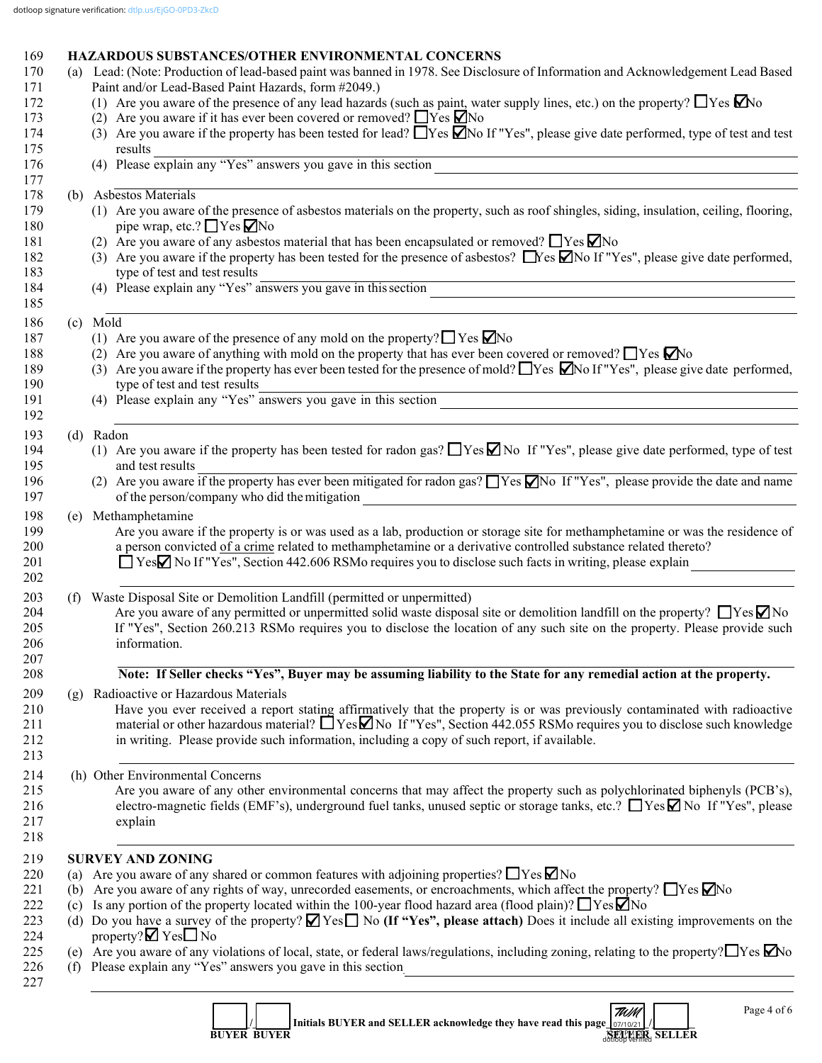# 169 **HAZARDOUS SUBSTANCES/OTHER ENVIRONMENTAL CONCERNS**<br>170 (a) Lead: (Note: Production of lead-based naint was banned in 1978, See Disclose

|     | (a) Lead: (Note: Production of lead-based paint was banned in 1978. See Disclosure of Information and Acknowledgement Lead Based<br>Paint and/or Lead-Based Paint Hazards, form #2049.)                                                                                                                                                                        |
|-----|----------------------------------------------------------------------------------------------------------------------------------------------------------------------------------------------------------------------------------------------------------------------------------------------------------------------------------------------------------------|
|     | (1) Are you aware of the presence of any lead hazards (such as paint, water supply lines, etc.) on the property? $\Box$ Yes $\Box$ No                                                                                                                                                                                                                          |
|     | (2) Are you aware if it has ever been covered or removed? $\Box$ Yes $\Box$ No                                                                                                                                                                                                                                                                                 |
|     | (3) Are you aware if the property has been tested for lead? $\Box$ Yes $\Box$ No If "Yes", please give date performed, type of test and test<br>results                                                                                                                                                                                                        |
|     | (4) Please explain any "Yes" answers you gave in this section $\frac{1}{\sqrt{2\pi}}$                                                                                                                                                                                                                                                                          |
|     | (b) Asbestos Materials                                                                                                                                                                                                                                                                                                                                         |
|     | (1) Are you aware of the presence of asbestos materials on the property, such as roof shingles, siding, insulation, ceiling, flooring,                                                                                                                                                                                                                         |
|     | pipe wrap, etc.? $\Box$ Yes $\Box$ No                                                                                                                                                                                                                                                                                                                          |
|     | (2) Are you aware of any asbestos material that has been encapsulated or removed? $\Box$ Yes $\Box$ No                                                                                                                                                                                                                                                         |
|     | (3) Are you aware if the property has been tested for the presence of asbestos? $\Box$ Yes $\Box$ No If "Yes", please give date performed,                                                                                                                                                                                                                     |
|     | type of test and test results                                                                                                                                                                                                                                                                                                                                  |
|     | type of test and test results<br>(4) Please explain any "Yes" answers you gave in this section                                                                                                                                                                                                                                                                 |
|     | (c) Mold                                                                                                                                                                                                                                                                                                                                                       |
|     | (1) Are you aware of the presence of any mold on the property? $\Box$ Yes $\Box$ No                                                                                                                                                                                                                                                                            |
|     | (2) Are you aware of anything with mold on the property that has ever been covered or removed? $\Box$ Yes $\Box$ No                                                                                                                                                                                                                                            |
|     | (3) Are you aware if the property has ever been tested for the presence of mold? These $\Box$ No If "Yes", please give date performed,<br>type of test and test results                                                                                                                                                                                        |
|     | type of test and test results<br>(4) Please explain any "Yes" answers you gave in this section                                                                                                                                                                                                                                                                 |
|     |                                                                                                                                                                                                                                                                                                                                                                |
|     | (d) Radon<br>(1) Are you aware if the property has been tested for radon gas? $\Box$ Yes $\Box$ No If "Yes", please give date performed, type of test                                                                                                                                                                                                          |
|     | and test results                                                                                                                                                                                                                                                                                                                                               |
|     | (2) Are you aware if the property has ever been mitigated for radon gas? $\Box$ Yes $\Box$ No If "Yes", please provide the date and name<br>of the person/company who did the mitigation<br><u> 1989 - Johann Stoff, Amerikaansk politiker († 1908)</u>                                                                                                        |
| (e) | Methamphetamine                                                                                                                                                                                                                                                                                                                                                |
|     | Are you aware if the property is or was used as a lab, production or storage site for methamphetamine or was the residence of<br>a person convicted of a crime related to methamphetamine or a derivative controlled substance related thereto?<br>□ YesΩ No If "Yes", Section 442.606 RSMo requires you to disclose such facts in writing, please explain     |
| (f) | Waste Disposal Site or Demolition Landfill (permitted or unpermitted)<br>Are you aware of any permitted or unpermitted solid waste disposal site or demolition landfill on the property? $\Box$ Yes $\Box$ No                                                                                                                                                  |
|     | If "Yes", Section 260.213 RSMo requires you to disclose the location of any such site on the property. Please provide such<br>information.                                                                                                                                                                                                                     |
|     | Note: If Seller checks "Yes", Buyer may be assuming liability to the State for any remedial action at the property.                                                                                                                                                                                                                                            |
| (g) | Radioactive or Hazardous Materials                                                                                                                                                                                                                                                                                                                             |
|     | Have you ever received a report stating affirmatively that the property is or was previously contaminated with radioactive<br>material or other hazardous material? $\Box$ Yes $\Box$ No If "Yes", Section 442.055 RSMo requires you to disclose such knowledge<br>in writing. Please provide such information, including a copy of such report, if available. |
|     | (h) Other Environmental Concerns                                                                                                                                                                                                                                                                                                                               |
|     | Are you aware of any other environmental concerns that may affect the property such as polychlorinated biphenyls (PCB's),<br>electro-magnetic fields (EMF's), underground fuel tanks, unused septic or storage tanks, etc.? ■ Yes No If "Yes", please<br>explain                                                                                               |
|     | <b>SURVEY AND ZONING</b>                                                                                                                                                                                                                                                                                                                                       |
| (a) | Are you aware of any shared or common features with adjoining properties? $\Box$ Yes $\Box$ No                                                                                                                                                                                                                                                                 |
| (b) | Are you aware of any rights of way, unrecorded easements, or encroachments, which affect the property? $\Box$ Yes $\Box$ No                                                                                                                                                                                                                                    |
| (c) | Is any portion of the property located within the 100-year flood hazard area (flood plain)? $\Box$ Yes $\Box$ No                                                                                                                                                                                                                                               |
|     | (d) Do you have a survey of the property? $\blacksquare$ Yes $\blacksquare$ No (If "Yes", please attach) Does it include all existing improvements on the                                                                                                                                                                                                      |
|     | property? $\nabla$ Yes $\nabla$ No                                                                                                                                                                                                                                                                                                                             |

|  |                    | Initials BUYER and SELLER acknowledge they have read this page $\vert_{07/10/21}\vert$ / | $\frac{1}{2}$ |  |
|--|--------------------|------------------------------------------------------------------------------------------|---------------|--|
|  | <b>BUYER BUYER</b> |                                                                                          | <b>SELLER</b> |  |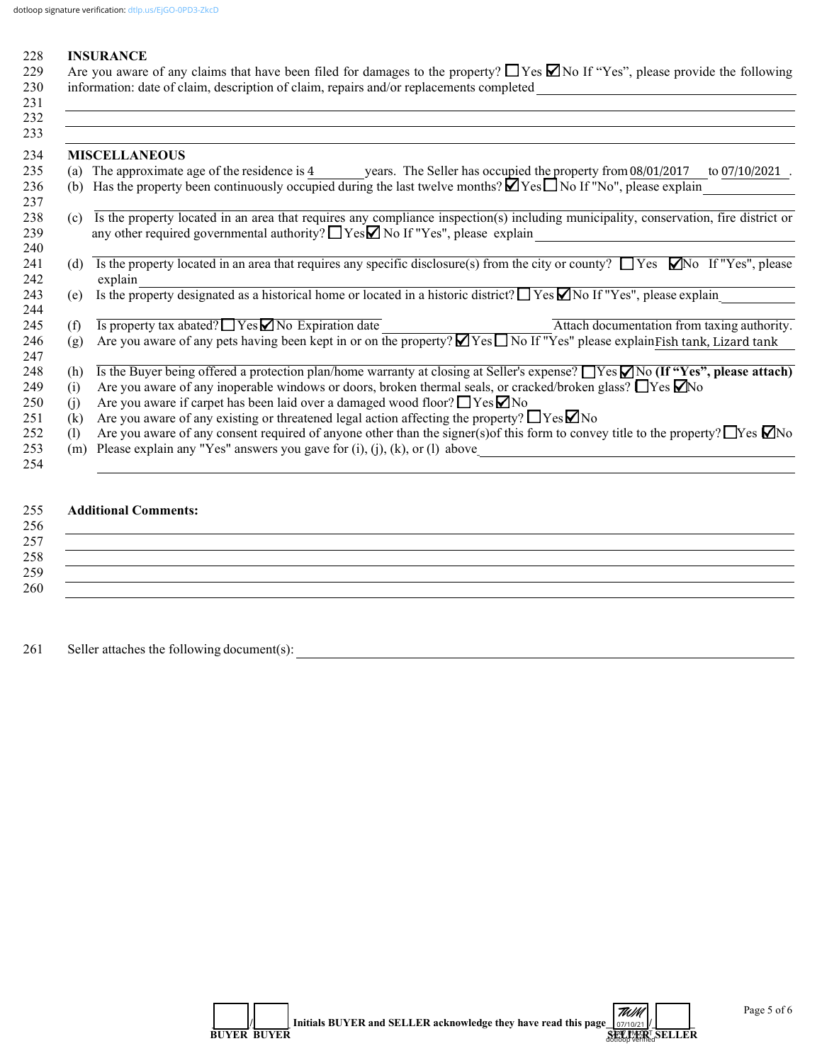#### 228 **INSURANCE**

229 Are you aware of any claims that have been filed for damages to the property?  $\Box$  Yes  $\Box$  No If "Yes", please provide the following 230 information: date of claim, description of claim, repairs and/or replacements completed \_\_\_\_\_\_\_\_\_\_\_\_\_\_\_\_\_\_\_\_\_\_\_\_\_\_\_\_\_\_\_\_\_\_\_\_\_\_  $231$ 

|                            | <b>MISCELLANEOUS</b>                                                                                                                                                                                                             |
|----------------------------|----------------------------------------------------------------------------------------------------------------------------------------------------------------------------------------------------------------------------------|
| (a)                        | The approximate age of the residence is $4$ years. The Seller has occupied the property from $08/01/2017$<br>to $07/10/2021$ .                                                                                                   |
| (b)                        | Has the property been continuously occupied during the last twelve months? $\Box$ Yes $\Box$ No If "No", please explain                                                                                                          |
| (c)                        | Is the property located in an area that requires any compliance inspection(s) including municipality, conservation, fire district or<br>any other required governmental authority? $\Box$ Yes $\Box$ No If "Yes", please explain |
| (d)                        | Is the property located in an area that requires any specific disclosure(s) from the city or county? $\Box$ Yes $\Box$ No If "Yes", please<br>explain                                                                            |
| (e)                        | Is the property designated as a historical home or located in a historic district? $\Box$ Yes $\Box$ No If "Yes", please explain                                                                                                 |
| (f)                        | Is property tax abated? $\Box$ Yes $\Box$ No Expiration date<br>Attach documentation from taxing authority.                                                                                                                      |
| (g)                        | Are you aware of any pets having been kept in or on the property? $\Box$ Yes $\Box$ No If "Yes" please explain Fish tank, Lizard tank                                                                                            |
| (h)                        | Is the Buyer being offered a protection plan/home warranty at closing at Seller's expense? $\Box$ Yes $\Box$ No (If "Yes", please attach)                                                                                        |
| (i)                        | Are you aware of any inoperable windows or doors, broken thermal seals, or cracked/broken glass? $\Box$ Yes $\Box$ No                                                                                                            |
| (1)                        | Are you aware if carpet has been laid over a damaged wood floor? $\Box$ Yes $\Box$ No                                                                                                                                            |
| (k)                        | Are you aware of any existing or threatened legal action affecting the property? $\Box$ Yes $\Box$ No                                                                                                                            |
| $\left( \mathrm{l}\right)$ | Are you aware of any consent required of anyone other than the signer(s) of this form to convey title to the property? $\Box$ Yes $\Box$ No                                                                                      |
| (m)                        | Please explain any "Yes" answers you gave for $(i)$ , $(j)$ , $(k)$ , or $(l)$ above                                                                                                                                             |
|                            |                                                                                                                                                                                                                                  |

### 255 **Additional Comments:**

## $256$  $257$ 258 \_\_\_\_\_\_\_\_\_\_\_\_\_\_\_\_\_\_\_\_\_\_\_\_\_\_\_\_\_\_\_\_\_\_\_\_\_\_\_\_\_\_\_\_\_\_\_\_\_\_\_\_\_\_\_\_\_\_\_\_\_\_\_\_\_\_\_\_\_\_\_\_\_\_\_\_\_\_\_\_\_\_\_\_\_\_\_\_\_\_\_\_\_\_\_\_\_\_\_\_\_\_\_\_\_\_\_\_ 259 \_\_\_\_\_\_\_\_\_\_\_\_\_\_\_\_\_\_\_\_\_\_\_\_\_\_\_\_\_\_\_\_\_\_\_\_\_\_\_\_\_\_\_\_\_\_\_\_\_\_\_\_\_\_\_\_\_\_\_\_\_\_\_\_\_\_\_\_\_\_\_\_\_\_\_\_\_\_\_\_\_\_\_\_\_\_\_\_\_\_\_\_\_\_\_\_\_\_\_\_\_\_\_\_\_\_\_\_ 260 \_\_\_\_\_\_\_\_\_\_\_\_\_\_\_\_\_\_\_\_\_\_\_\_\_\_\_\_\_\_\_\_\_\_\_\_\_\_\_\_\_\_\_\_\_\_\_\_\_\_\_\_\_\_\_\_\_\_\_\_\_\_\_\_\_\_\_\_\_\_\_\_\_\_\_\_\_\_\_\_\_\_\_\_\_\_\_\_\_\_\_\_\_\_\_\_\_\_\_\_\_\_\_\_\_\_\_\_

261 Seller attaches the following document(s):